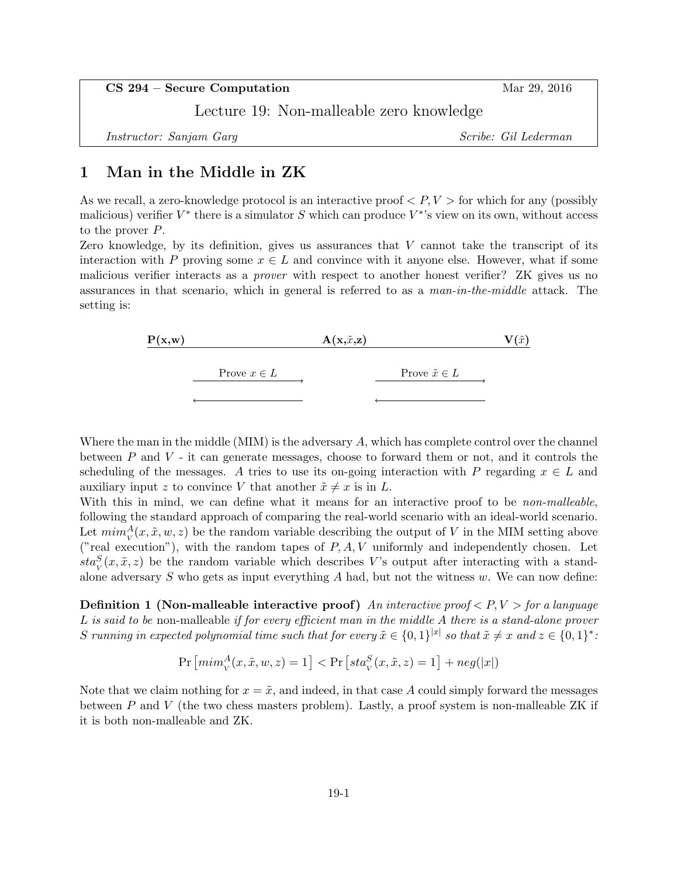CS 294 – Secure Computation Mar 29, 2016

Lecture 19: Non-malleable zero knowledge

Instructor: Sanjam Garg Scribe: Gil Lederman

## 1 Man in the Middle in ZK

As we recall, a zero-knowledge protocol is an interactive proof  $\langle P, V \rangle$  for which for any (possibly malicious) verifier  $V^*$  there is a simulator S which can produce  $V^*$ 's view on its own, without access to the prover P.

Zero knowledge, by its definition, gives us assurances that  $V$  cannot take the transcript of its interaction with P proving some  $x \in L$  and convince with it anyone else. However, what if some malicious verifier interacts as a prover with respect to another honest verifier? ZK gives us no assurances in that scenario, which in general is referred to as a man-in-the-middle attack. The setting is:

| P(x, w) | $A(x,\tilde{x},z)$ |                         |  |
|---------|--------------------|-------------------------|--|
|         | Prove $x \in L$    | Prove $\tilde{x} \in L$ |  |
|         |                    |                         |  |

Where the man in the middle  $(MIM)$  is the adversary  $A$ , which has complete control over the channel between  $P$  and  $V$  - it can generate messages, choose to forward them or not, and it controls the scheduling of the messages. A tries to use its on-going interaction with P regarding  $x \in L$  and auxiliary input z to convince V that another  $\tilde{x} \neq x$  is in L.

With this in mind, we can define what it means for an interactive proof to be *non-malleable*, following the standard approach of comparing the real-world scenario with an ideal-world scenario. Let  $\min_{V}^{A}(x, \tilde{x}, w, z)$  be the random variable describing the output of V in the MIM setting above ("real execution"), with the random tapes of  $P, A, V$  uniformly and independently chosen. Let  $sta_V^S(x, \tilde{x}, z)$  be the random variable which describes V's output after interacting with a standalone adversary  $S$  who gets as input everything  $A$  had, but not the witness  $w$ . We can now define:

**Definition 1 (Non-malleable interactive proof)** An interactive proof  $\langle P, V \rangle$  for a language L is said to be non-malleable if for every efficient man in the middle A there is a stand-alone prover S running in expected polynomial time such that for every  $\tilde{x} \in \{0,1\}^{|x|}$  so that  $\tilde{x} \neq x$  and  $z \in \{0,1\}^*$ :

$$
\Pr\left[\min_{V}^{A}(x,\tilde{x},w,z)=1\right]<\Pr\left[\operatorname{sta}_{V}^{S}(x,\tilde{x},z)=1\right]+\operatorname{neg}(|x|)
$$

Note that we claim nothing for  $x = \tilde{x}$ , and indeed, in that case A could simply forward the messages between  $P$  and  $V$  (the two chess masters problem). Lastly, a proof system is non-malleable ZK if it is both non-malleable and ZK.